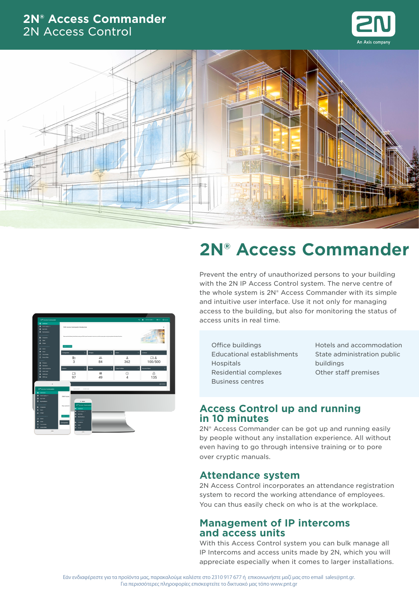## **2N® Access Commander** 2N Access Control





# **2N® Access Commander**

Prevent the entry of unauthorized persons to your building with the 2N IP Access Control system. The nerve centre of the whole system is 2N® Access Commander with its simple and intuitive user interface. Use it not only for managing access to the building, but also for monitoring the status of access units in real time.

 $rac{1}{84}$  $362$  $\frac{10.2}{100/500}$  $\frac{\odot}{4}$  $\frac{15}{135}$ 

Office buildings Educational establishments **Hospitals** Residential complexes Business centres

Hotels and accommodation State administration public buildings Other staff premises

## **Access Control up and running in 10 minutes**

2N® Access Commander can be got up and running easily by people without any installation experience. All without even having to go through intensive training or to pore over cryptic manuals.

## **Attendance system**

2N Access Control incorporates an attendance registration system to record the working attendance of employees. You can thus easily check on who is at the workplace.

## **Management of IP intercoms and access units**

With this Access Control system you can bulk manage all IP Intercoms and access units made by 2N, which you will appreciate especially when it comes to larger installations.